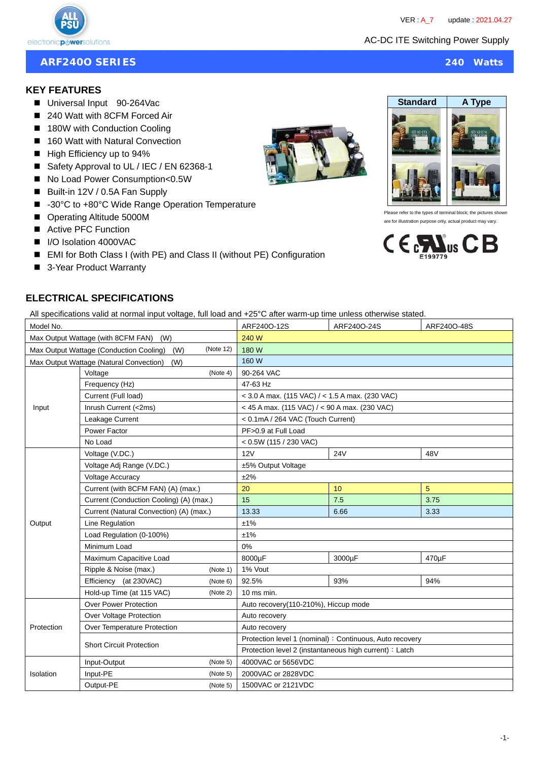

# **ARF240O SERIES 240 Watts**

# **KEY FEATURES**

- Universal Input 90-264Vac
- 240 Watt with 8CFM Forced Air
- 180W with Conduction Cooling
- 160 Watt with Natural Convection
- High Efficiency up to 94%
- Safety Approval to UL / IEC / EN 62368-1
- No Load Power Consumption<0.5W
- Built-in 12V / 0.5A Fan Supply
- -30°C to +80°C Wide Range Operation Temperature
- Operating Altitude 5000M
- Active PFC Function
- I/O Isolation 4000VAC
- EMI for Both Class I (with PE) and Class II (without PE) Configuration
- 3-Year Product Warranty



All specifications valid at normal input voltage, full load and +25°C after warm-up time unless otherwise stated.

| Model No.                                                   |                                                |          | ARF240O-12S                                              | ARF240O-24S | ARF240O-48S |  |  |
|-------------------------------------------------------------|------------------------------------------------|----------|----------------------------------------------------------|-------------|-------------|--|--|
| Max Output Wattage (with 8CFM FAN)<br>(W)                   |                                                |          | 240 W                                                    |             |             |  |  |
| (Note 12)<br>Max Output Wattage (Conduction Cooling)<br>(W) |                                                |          | 180 W                                                    |             |             |  |  |
|                                                             | Max Output Wattage (Natural Convection)<br>(W) |          | 160 W                                                    |             |             |  |  |
|                                                             | Voltage                                        | (Note 4) | 90-264 VAC                                               |             |             |  |  |
|                                                             | Frequency (Hz)                                 |          | 47-63 Hz                                                 |             |             |  |  |
|                                                             | Current (Full load)                            |          | $<$ 3.0 A max. (115 VAC) / $<$ 1.5 A max. (230 VAC)      |             |             |  |  |
| Input                                                       | Inrush Current (<2ms)                          |          | < 45 A max. (115 VAC) / < 90 A max. (230 VAC)            |             |             |  |  |
|                                                             | Leakage Current                                |          | < 0.1mA / 264 VAC (Touch Current)                        |             |             |  |  |
|                                                             | Power Factor                                   |          | PF>0.9 at Full Load                                      |             |             |  |  |
|                                                             | No Load                                        |          | < 0.5W(115 / 230 VAC)                                    |             |             |  |  |
|                                                             | Voltage (V.DC.)                                |          | 12V                                                      | <b>24V</b>  | 48V         |  |  |
|                                                             | Voltage Adj Range (V.DC.)                      |          | ±5% Output Voltage                                       |             |             |  |  |
|                                                             | <b>Voltage Accuracy</b>                        |          | ±2%                                                      |             |             |  |  |
|                                                             | Current (with 8CFM FAN) (A) (max.)             |          | 20                                                       | 10          | 5           |  |  |
|                                                             | Current (Conduction Cooling) (A) (max.)        |          | 15                                                       | 7.5         | 3.75        |  |  |
|                                                             | Current (Natural Convection) (A) (max.)        |          | 13.33                                                    | 6.66        | 3.33        |  |  |
| Output                                                      | Line Regulation                                |          | ±1%                                                      |             |             |  |  |
|                                                             | Load Regulation (0-100%)                       |          | ±1%                                                      |             |             |  |  |
|                                                             | Minimum Load                                   |          | 0%                                                       |             |             |  |  |
|                                                             | Maximum Capacitive Load                        |          | 8000µF                                                   | 3000µF      | 470µF       |  |  |
|                                                             | Ripple & Noise (max.)                          | (Note 1) | 1% Vout                                                  |             |             |  |  |
|                                                             | Efficiency (at 230VAC)                         | (Note 6) | 92.5%                                                    | 93%         | 94%         |  |  |
|                                                             | Hold-up Time (at 115 VAC)                      | (Note 2) | $10$ ms min.                                             |             |             |  |  |
|                                                             | <b>Over Power Protection</b>                   |          | Auto recovery(110-210%), Hiccup mode                     |             |             |  |  |
|                                                             | Over Voltage Protection                        |          | Auto recovery                                            |             |             |  |  |
| Protection                                                  | Over Temperature Protection                    |          | Auto recovery                                            |             |             |  |  |
|                                                             | <b>Short Circuit Protection</b>                |          | Protection level 1 (nominal) : Continuous, Auto recovery |             |             |  |  |
|                                                             |                                                |          | Protection level 2 (instantaneous high current) : Latch  |             |             |  |  |
|                                                             | Input-Output                                   | (Note 5) | 4000VAC or 5656VDC                                       |             |             |  |  |
| Isolation                                                   | Input-PE<br>(Note 5)                           |          | 2000VAC or 2828VDC                                       |             |             |  |  |
|                                                             | Output-PE<br>(Note 5)                          |          | 1500VAC or 2121VDC                                       |             |             |  |  |





refer to the types of terminal block; the pictures are for illustration purpose only, actual product may vary.



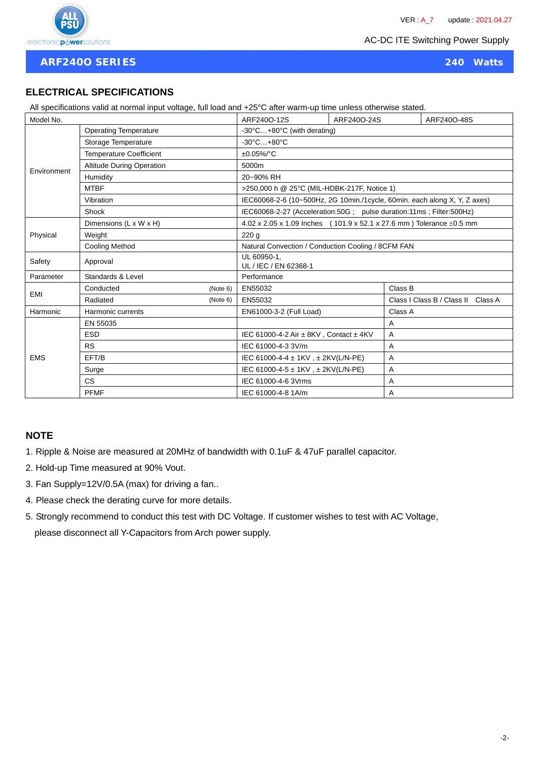

**ARF240O SERIES 240 Watts**

# **ELECTRICAL SPECIFICATIONS**

All specifications valid at normal input voltage, full load and +25°C after warm-up time unless otherwise stated.

| Model No.   |                                | ARF240O-12S                          | ARF240O-24S                                                                           | ARF240O-48S |                                                                           |  |  |
|-------------|--------------------------------|--------------------------------------|---------------------------------------------------------------------------------------|-------------|---------------------------------------------------------------------------|--|--|
|             | <b>Operating Temperature</b>   |                                      | -30°C+80°C (with derating)                                                            |             |                                                                           |  |  |
|             | Storage Temperature            |                                      | $-30^{\circ}$ C $+80^{\circ}$ C                                                       |             |                                                                           |  |  |
|             | <b>Temperature Coefficient</b> |                                      | $±0.05\%$ /°C                                                                         |             |                                                                           |  |  |
|             | Altitude During Operation      |                                      | 5000m                                                                                 |             |                                                                           |  |  |
| Environment | Humidity                       |                                      | 20~90% RH                                                                             |             |                                                                           |  |  |
|             | <b>MTBF</b>                    |                                      | >250,000 h @ 25°C (MIL-HDBK-217F, Notice 1)                                           |             |                                                                           |  |  |
|             | Vibration                      |                                      |                                                                                       |             | IEC60068-2-6 (10~500Hz, 2G 10min./1cycle, 60min. each along X, Y, Z axes) |  |  |
|             | <b>Shock</b>                   |                                      | IEC60068-2-27 (Acceleration:50G ; pulse duration:11ms ; Filter:500Hz)                 |             |                                                                           |  |  |
|             | Dimensions (L x W x H)         |                                      | $4.02 \times 2.05 \times 1.09$ Inches (101.9 x 52.1 x 27.6 mm) Tolerance $\pm 0.5$ mm |             |                                                                           |  |  |
| Physical    | Weight                         |                                      | 220q                                                                                  |             |                                                                           |  |  |
|             | <b>Cooling Method</b>          |                                      | Natural Convection / Conduction Cooling / 8CFM FAN                                    |             |                                                                           |  |  |
| Safety      | Approval                       | UL 60950-1,<br>UL / IEC / EN 62368-1 |                                                                                       |             |                                                                           |  |  |
| Parameter   | Standards & Level              |                                      | Performance                                                                           |             |                                                                           |  |  |
| EMI         | Conducted                      | (Note 6)                             | EN55032                                                                               |             | Class B                                                                   |  |  |
|             | Radiated                       | (Note 6)                             | EN55032                                                                               |             | Class I Class B / Class II Class A                                        |  |  |
| Harmonic    | Harmonic currents              |                                      | EN61000-3-2 (Full Load)                                                               |             | Class A                                                                   |  |  |
|             | EN 55035                       |                                      |                                                                                       | Α           |                                                                           |  |  |
|             | <b>ESD</b>                     |                                      | IEC 61000-4-2 Air ± 8KV, Contact ± 4KV                                                |             | Α                                                                         |  |  |
|             | <b>RS</b>                      |                                      | IEC 61000-4-3 3V/m                                                                    |             | Α                                                                         |  |  |
| <b>EMS</b>  | EFT/B                          |                                      | IEC 61000-4-4 ± 1KV, ± 2KV(L/N-PE)                                                    |             | A                                                                         |  |  |
|             | Surge                          |                                      | IEC 61000-4-5 ± 1KV, ± 2KV(L/N-PE)                                                    |             | Α                                                                         |  |  |
|             | <b>CS</b>                      |                                      | IEC 61000-4-6 3Vrms                                                                   |             | A                                                                         |  |  |
|             | <b>PFMF</b>                    |                                      | IEC 61000-4-8 1A/m                                                                    |             | A                                                                         |  |  |

# **NOTE**

- 1. Ripple & Noise are measured at 20MHz of bandwidth with 0.1uF & 47uF parallel capacitor.
- 2. Hold-up Time measured at 90% Vout.
- 3. Fan Supply=12V/0.5A (max) for driving a fan..
- 4. Please check the derating curve for more details.
- 5. Strongly recommend to conduct this test with DC Voltage. If customer wishes to test with AC Voltage, please disconnect all Y-Capacitors from Arch power supply.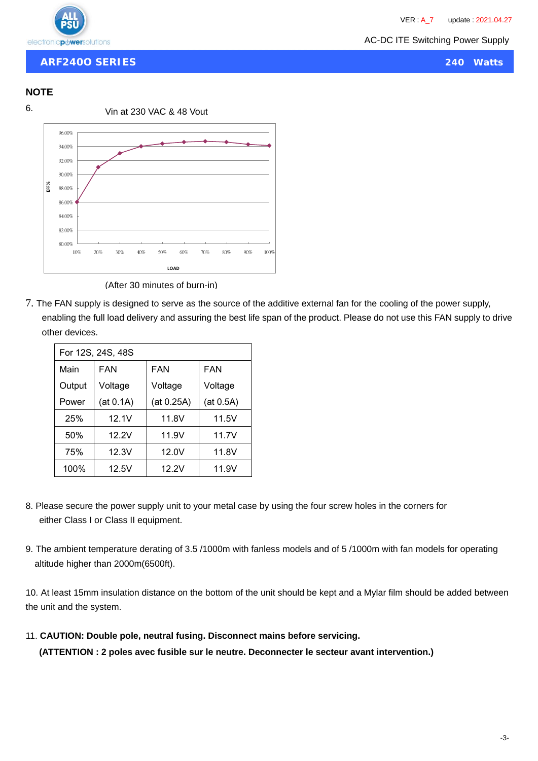

**ARF240O SERIES 240 Watts**

#### **NOTE**



(After 30 minutes of burn-in)

7. The FAN supply is designed to serve as the source of the additive external fan for the cooling of the power supply, enabling the full load delivery and assuring the best life span of the product. Please do not use this FAN supply to drive other devices.

| For 12S, 24S, 48S |           |            |            |  |  |  |
|-------------------|-----------|------------|------------|--|--|--|
| Main              | FAN       |            | <b>FAN</b> |  |  |  |
| Output            | Voltage   | Voltage    | Voltage    |  |  |  |
| Power             | (at 0.1A) | (at 0.25A) | (at 0.5A)  |  |  |  |
| 25%               | 12.1V     | 11.8V      | 11.5V      |  |  |  |
| 50%               | 12.2V     | 11.9V      | 11.7V      |  |  |  |
| 75%               | 12.3V     | 12.0V      | 11.8V      |  |  |  |
| 100%              | 12.5V     | 12.2V      | 11.9V      |  |  |  |

- 8. Please secure the power supply unit to your metal case by using the four screw holes in the corners for either Class I or Class II equipment.
- 9. The ambient temperature derating of 3.5 /1000m with fanless models and of 5 /1000m with fan models for operating altitude higher than 2000m(6500ft).

10. At least 15mm insulation distance on the bottom of the unit should be kept and a Mylar film should be added between the unit and the system.

11. **CAUTION: Double pole, neutral fusing. Disconnect mains before servicing.**

**(ATTENTION : 2 poles avec fusible sur le neutre. Deconnecter le secteur avant intervention.)**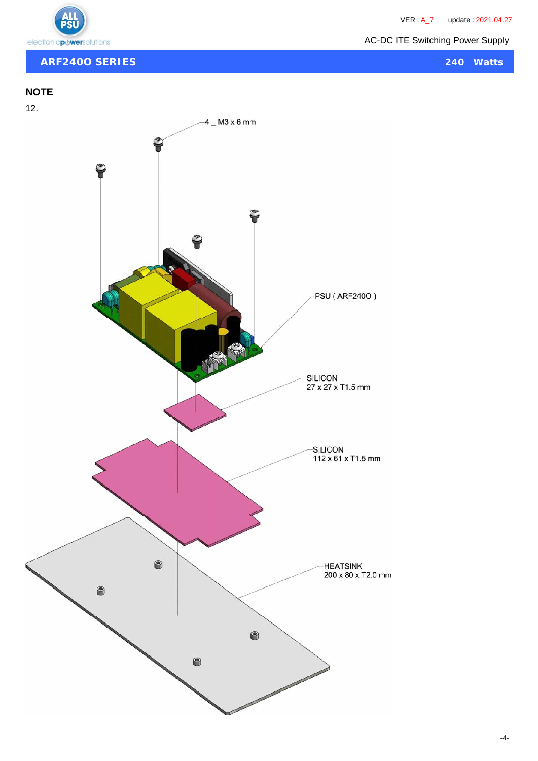



# **ARF240O SERIES 240 Watts**

# **NOTE**

12.

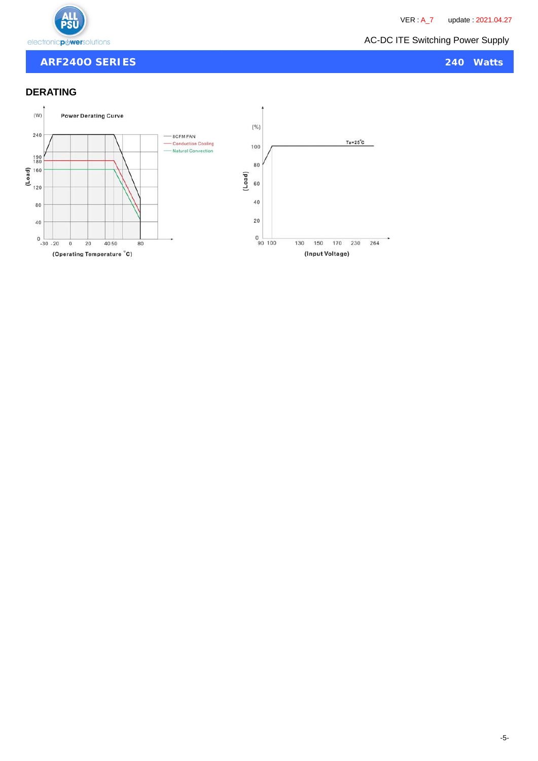

PS

### **ARF240O SERIES 240 Watts**

# **DERATING**

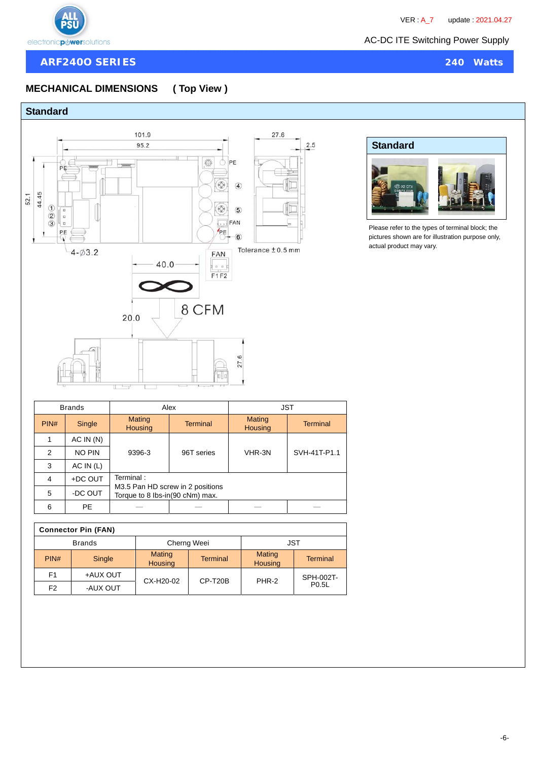

### **ARF240O SERIES 240 Watts**

# **MECHANICAL DIMENSIONS ( Top View )**

# **Standard**





Please refer to the types of terminal block; the pictures shown are for illustration purpose only, actual product may vary.

| <b>Brands</b> |           |                                 | Alex                             | <b>JST</b>               |                 |  |
|---------------|-----------|---------------------------------|----------------------------------|--------------------------|-----------------|--|
| PIN#          | Single    | Mating<br><b>Housing</b>        | <b>Terminal</b>                  | Mating<br><b>Housing</b> | <b>Terminal</b> |  |
|               | AC IN(N)  |                                 | 96T series                       | VHR-3N                   | SVH-41T-P1.1    |  |
| 2             | NO PIN    | 9396-3                          |                                  |                          |                 |  |
| 3             | AC IN (L) |                                 |                                  |                          |                 |  |
| 4             | +DC OUT   | Terminal:                       |                                  |                          |                 |  |
| 5             | -DC OUT   | Torque to 8 lbs-in(90 cNm) max. | M3.5 Pan HD screw in 2 positions |                          |                 |  |
| 6             | PE.       |                                 |                                  |                          |                 |  |

| <b>Connector Pin (FAN)</b> |               |                                 |                 |                   |                    |  |  |  |
|----------------------------|---------------|---------------------------------|-----------------|-------------------|--------------------|--|--|--|
|                            | <b>Brands</b> |                                 | Cherng Weei     | JST               |                    |  |  |  |
| PIN#                       | Single        | <b>Mating</b><br><b>Housing</b> | <b>Terminal</b> | Mating<br>Housing | <b>Terminal</b>    |  |  |  |
| F <sub>1</sub>             | +AUX OUT      | CX-H20-02                       | $CP- T20B$      | PHR-2             | SPH-002T-          |  |  |  |
| F <sub>2</sub>             | -AUX OUT      |                                 |                 |                   | P <sub>0.5</sub> L |  |  |  |